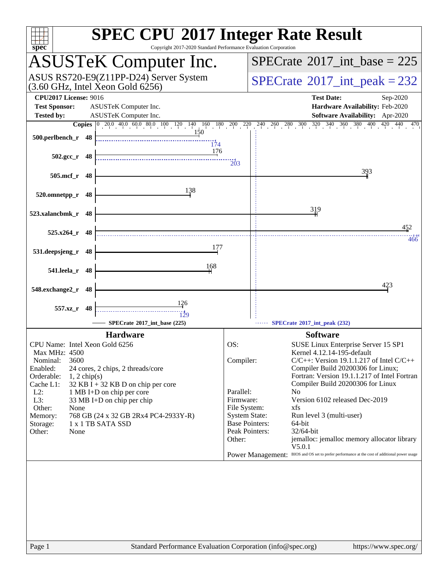| Copyright 2017-2020 Standard Performance Evaluation Corporation<br>$spec^*$                                                                                                                                                                                                                                                                                                                                   | <b>SPEC CPU®2017 Integer Rate Result</b>                                                                                                                                                                                                                                                                                                                                                                                                                                                                                                                                                                                                             |
|---------------------------------------------------------------------------------------------------------------------------------------------------------------------------------------------------------------------------------------------------------------------------------------------------------------------------------------------------------------------------------------------------------------|------------------------------------------------------------------------------------------------------------------------------------------------------------------------------------------------------------------------------------------------------------------------------------------------------------------------------------------------------------------------------------------------------------------------------------------------------------------------------------------------------------------------------------------------------------------------------------------------------------------------------------------------------|
| <b>ASUSTeK Computer Inc.</b>                                                                                                                                                                                                                                                                                                                                                                                  | $SPECTate$ <sup>®</sup> 2017_int_base = 225                                                                                                                                                                                                                                                                                                                                                                                                                                                                                                                                                                                                          |
| ASUS RS720-E9(Z11PP-D24) Server System<br>$(3.60 \text{ GHz}, \text{Intel Xeon Gold } 6256)$                                                                                                                                                                                                                                                                                                                  | $SPECrate^{\circ}2017\_int\_peak = 232$                                                                                                                                                                                                                                                                                                                                                                                                                                                                                                                                                                                                              |
| <b>CPU2017 License: 9016</b><br><b>Test Sponsor:</b><br>ASUSTeK Computer Inc.                                                                                                                                                                                                                                                                                                                                 | <b>Test Date:</b><br>Sep-2020<br>Hardware Availability: Feb-2020                                                                                                                                                                                                                                                                                                                                                                                                                                                                                                                                                                                     |
| <b>Tested by:</b><br><b>ASUSTeK Computer Inc.</b>                                                                                                                                                                                                                                                                                                                                                             | Software Availability: Apr-2020                                                                                                                                                                                                                                                                                                                                                                                                                                                                                                                                                                                                                      |
| <b>Copies</b> $\begin{bmatrix} 0 & 20.0 & 40.0 & 60.0 & 80.0 & 100 & 120 & 140 & 160 & 180 & 200 & 220 \end{bmatrix}$                                                                                                                                                                                                                                                                                         | $240 \quad 260 \quad 280 \quad 300 \quad 320 \quad 340 \quad 360 \quad 380 \quad 400 \quad 420 \quad 440 \quad 470$                                                                                                                                                                                                                                                                                                                                                                                                                                                                                                                                  |
| 150<br>500.perlbench_r 48<br>$\frac{11}{174}$<br>176                                                                                                                                                                                                                                                                                                                                                          |                                                                                                                                                                                                                                                                                                                                                                                                                                                                                                                                                                                                                                                      |
| $502.\text{gcc r}$ 48                                                                                                                                                                                                                                                                                                                                                                                         | $\overline{203}$                                                                                                                                                                                                                                                                                                                                                                                                                                                                                                                                                                                                                                     |
| 505.mcf_r 48                                                                                                                                                                                                                                                                                                                                                                                                  | 393                                                                                                                                                                                                                                                                                                                                                                                                                                                                                                                                                                                                                                                  |
| 138<br>520.omnetpp_r<br>- 48                                                                                                                                                                                                                                                                                                                                                                                  |                                                                                                                                                                                                                                                                                                                                                                                                                                                                                                                                                                                                                                                      |
| 523.xalancbmk_r 48                                                                                                                                                                                                                                                                                                                                                                                            | 319                                                                                                                                                                                                                                                                                                                                                                                                                                                                                                                                                                                                                                                  |
| 525.x264_r 48                                                                                                                                                                                                                                                                                                                                                                                                 | 452<br>466                                                                                                                                                                                                                                                                                                                                                                                                                                                                                                                                                                                                                                           |
| 177<br>531.deepsjeng_r 48                                                                                                                                                                                                                                                                                                                                                                                     |                                                                                                                                                                                                                                                                                                                                                                                                                                                                                                                                                                                                                                                      |
| 168<br>541.leela_r 48                                                                                                                                                                                                                                                                                                                                                                                         |                                                                                                                                                                                                                                                                                                                                                                                                                                                                                                                                                                                                                                                      |
| 548.exchange2_r<br>48                                                                                                                                                                                                                                                                                                                                                                                         | 423                                                                                                                                                                                                                                                                                                                                                                                                                                                                                                                                                                                                                                                  |
| <u>126</u><br>557.xz_r 48                                                                                                                                                                                                                                                                                                                                                                                     |                                                                                                                                                                                                                                                                                                                                                                                                                                                                                                                                                                                                                                                      |
| 129<br>SPECrate®2017_int_base (225)                                                                                                                                                                                                                                                                                                                                                                           | SPECrate®2017_int_peak (232)                                                                                                                                                                                                                                                                                                                                                                                                                                                                                                                                                                                                                         |
| <b>Hardware</b>                                                                                                                                                                                                                                                                                                                                                                                               | <b>Software</b>                                                                                                                                                                                                                                                                                                                                                                                                                                                                                                                                                                                                                                      |
| CPU Name: Intel Xeon Gold 6256<br>Max MHz: 4500<br>3600<br>Nominal:<br>Enabled:<br>24 cores, 2 chips, 2 threads/core<br>Orderable:<br>$1, 2$ chip(s)<br>Cache L1:<br>$32$ KB I + 32 KB D on chip per core<br>$L2$ :<br>1 MB I+D on chip per core<br>L3:<br>33 MB I+D on chip per chip<br>Other:<br>None<br>Memory:<br>768 GB (24 x 32 GB 2Rx4 PC4-2933Y-R)<br>1 x 1 TB SATA SSD<br>Storage:<br>Other:<br>None | OS:<br>SUSE Linux Enterprise Server 15 SP1<br>Kernel 4.12.14-195-default<br>$C/C++$ : Version 19.1.1.217 of Intel $C/C++$<br>Compiler:<br>Compiler Build 20200306 for Linux;<br>Fortran: Version 19.1.1.217 of Intel Fortran<br>Compiler Build 20200306 for Linux<br>Parallel:<br>No<br>Version 6102 released Dec-2019<br>Firmware:<br>File System:<br>xfs<br><b>System State:</b><br>Run level 3 (multi-user)<br><b>Base Pointers:</b><br>64-bit<br>Peak Pointers:<br>32/64-bit<br>jemalloc: jemalloc memory allocator library<br>Other:<br>V5.0.1<br>Power Management: BIOS and OS set to prefer performance at the cost of additional power usage |
| Standard Performance Evaluation Corporation (info@spec.org)<br>Page 1                                                                                                                                                                                                                                                                                                                                         | https://www.spec.org/                                                                                                                                                                                                                                                                                                                                                                                                                                                                                                                                                                                                                                |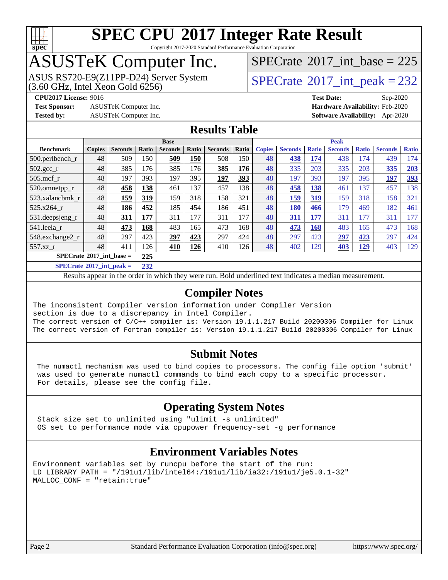

Copyright 2017-2020 Standard Performance Evaluation Corporation

## ASUSTeK Computer Inc.

ASUS RS720-E9(Z11PP-D24) Server System  $(3.60 \text{ GHz}, \text{ Intel Xeon Gold } 6256)$   $\big| \text{ SPECrate}^{\circledR} 2017 \text{ int\_peak} = 232 \big|$  $\big| \text{ SPECrate}^{\circledR} 2017 \text{ int\_peak} = 232 \big|$  $\big| \text{ SPECrate}^{\circledR} 2017 \text{ int\_peak} = 232 \big|$ 

 $SPECTate$ <sup>®</sup>[2017\\_int\\_base =](http://www.spec.org/auto/cpu2017/Docs/result-fields.html#SPECrate2017intbase) 225

**[CPU2017 License:](http://www.spec.org/auto/cpu2017/Docs/result-fields.html#CPU2017License)** 9016 **[Test Date:](http://www.spec.org/auto/cpu2017/Docs/result-fields.html#TestDate)** Sep-2020

**[Test Sponsor:](http://www.spec.org/auto/cpu2017/Docs/result-fields.html#TestSponsor)** ASUSTeK Computer Inc. **[Hardware Availability:](http://www.spec.org/auto/cpu2017/Docs/result-fields.html#HardwareAvailability)** Feb-2020

**[Tested by:](http://www.spec.org/auto/cpu2017/Docs/result-fields.html#Testedby)** ASUSTeK Computer Inc. **[Software Availability:](http://www.spec.org/auto/cpu2017/Docs/result-fields.html#SoftwareAvailability)** Apr-2020

#### **[Results Table](http://www.spec.org/auto/cpu2017/Docs/result-fields.html#ResultsTable)**

|                                                         | <b>Base</b>   |                |       |                |       |                | <b>Peak</b> |               |                |              |                |              |                |              |
|---------------------------------------------------------|---------------|----------------|-------|----------------|-------|----------------|-------------|---------------|----------------|--------------|----------------|--------------|----------------|--------------|
| <b>Benchmark</b>                                        | <b>Copies</b> | <b>Seconds</b> | Ratio | <b>Seconds</b> | Ratio | <b>Seconds</b> | Ratio       | <b>Copies</b> | <b>Seconds</b> | <b>Ratio</b> | <b>Seconds</b> | <b>Ratio</b> | <b>Seconds</b> | <b>Ratio</b> |
| 500.perlbench_r                                         | 48            | 509            | 150   | 509            | 150   | 508            | 150         | 48            | 438            | 174          | 438            | 174          | 439            | 174          |
| $502.\text{gcc\_r}$                                     | 48            | 385            | 176   | 385            | 176   | 385            | 176         | 48            | 335            | 203          | 335            | 203          | 335            | 203          |
| $505$ .mcf r                                            | 48            | 197            | 393   | 197            | 395   | 197            | 393         | 48            | 197            | 393          | 197            | 395          | 197            | 393          |
| 520.omnetpp_r                                           | 48            | 458            | 138   | 461            | 137   | 457            | 138         | 48            | 458            | 138          | 461            | 137          | 457            | 138          |
| 523.xalancbmk r                                         | 48            | 159            | 319   | 159            | 318   | 158            | 321         | 48            | 159            | 319          | 159            | 318          | 158            | 321          |
| 525.x264 r                                              | 48            | 186            | 452   | 185            | 454   | 186            | 451         | 48            | <b>180</b>     | 466          | 179            | 469          | 182            | 461          |
| 531.deepsjeng_r                                         | 48            | 311            | 177   | 311            | 177   | 311            | 177         | 48            | 311            | 177          | 311            | 177          | 311            | 177          |
| 541.leela r                                             | 48            | 473            | 168   | 483            | 165   | 473            | 168         | 48            | 473            | 168          | 483            | 165          | 473            | 168          |
| 548.exchange2_r                                         | 48            | 297            | 423   | 297            | 423   | 297            | 424         | 48            | 297            | 423          | 297            | 423          | 297            | 424          |
| 557.xz r                                                | 48            | 411            | 126   | 410            | 126   | 410            | 126         | 48            | 402            | 129          | 403            | <u>129</u>   | 403            | 129          |
| $SPECrate^{\circ}2017$ int base =                       |               |                |       |                |       |                |             |               |                |              |                |              |                |              |
| $\sim$ $\sim$ $\sim$ $\sim$ $\sim$ $\sim$ $\sim$ $\sim$ |               |                |       |                |       |                |             |               |                |              |                |              |                |              |

**[SPECrate](http://www.spec.org/auto/cpu2017/Docs/result-fields.html#SPECrate2017intpeak)[2017\\_int\\_peak =](http://www.spec.org/auto/cpu2017/Docs/result-fields.html#SPECrate2017intpeak) 232**

Results appear in the [order in which they were run](http://www.spec.org/auto/cpu2017/Docs/result-fields.html#RunOrder). Bold underlined text [indicates a median measurement](http://www.spec.org/auto/cpu2017/Docs/result-fields.html#Median).

#### **[Compiler Notes](http://www.spec.org/auto/cpu2017/Docs/result-fields.html#CompilerNotes)**

The inconsistent Compiler version information under Compiler Version section is due to a discrepancy in Intel Compiler. The correct version of C/C++ compiler is: Version 19.1.1.217 Build 20200306 Compiler for Linux The correct version of Fortran compiler is: Version 19.1.1.217 Build 20200306 Compiler for Linux

#### **[Submit Notes](http://www.spec.org/auto/cpu2017/Docs/result-fields.html#SubmitNotes)**

 The numactl mechanism was used to bind copies to processors. The config file option 'submit' was used to generate numactl commands to bind each copy to a specific processor. For details, please see the config file.

#### **[Operating System Notes](http://www.spec.org/auto/cpu2017/Docs/result-fields.html#OperatingSystemNotes)**

 Stack size set to unlimited using "ulimit -s unlimited" OS set to performance mode via cpupower frequency-set -g performance

#### **[Environment Variables Notes](http://www.spec.org/auto/cpu2017/Docs/result-fields.html#EnvironmentVariablesNotes)**

```
Environment variables set by runcpu before the start of the run:
LD_LIBRARY_PATH = "/191u1/lib/intel64:/191u1/lib/ia32:/191u1/je5.0.1-32"
MALLOC_CONF = "retain:true"
```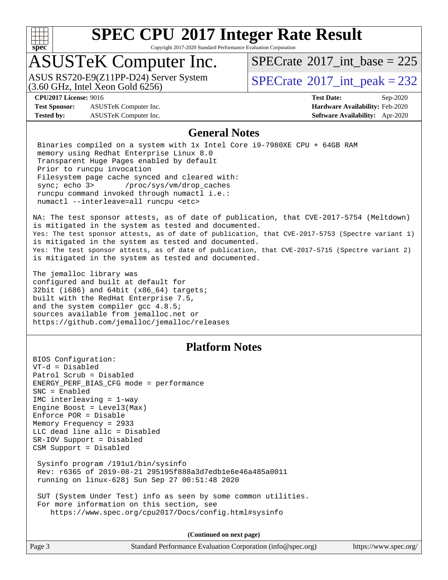

Copyright 2017-2020 Standard Performance Evaluation Corporation

## ASUSTeK Computer Inc.

 $(3.60$  GHz, Intel Xeon Gold  $6256$ ) ASUS RS720-E9(Z11PP-D24) Server System  $SBECrate^{\circ}2017$  int peak = 232

 $SPECTate$ <sup>®</sup>[2017\\_int\\_base =](http://www.spec.org/auto/cpu2017/Docs/result-fields.html#SPECrate2017intbase) 225

**[Test Sponsor:](http://www.spec.org/auto/cpu2017/Docs/result-fields.html#TestSponsor)** ASUSTeK Computer Inc. **[Hardware Availability:](http://www.spec.org/auto/cpu2017/Docs/result-fields.html#HardwareAvailability)** Feb-2020 **[Tested by:](http://www.spec.org/auto/cpu2017/Docs/result-fields.html#Testedby)** ASUSTeK Computer Inc. **[Software Availability:](http://www.spec.org/auto/cpu2017/Docs/result-fields.html#SoftwareAvailability)** Apr-2020

**[CPU2017 License:](http://www.spec.org/auto/cpu2017/Docs/result-fields.html#CPU2017License)** 9016 **[Test Date:](http://www.spec.org/auto/cpu2017/Docs/result-fields.html#TestDate)** Sep-2020

#### **[General Notes](http://www.spec.org/auto/cpu2017/Docs/result-fields.html#GeneralNotes)**

 Binaries compiled on a system with 1x Intel Core i9-7980XE CPU + 64GB RAM memory using Redhat Enterprise Linux 8.0 Transparent Huge Pages enabled by default Prior to runcpu invocation Filesystem page cache synced and cleared with: sync; echo 3> /proc/sys/vm/drop\_caches runcpu command invoked through numactl i.e.: numactl --interleave=all runcpu <etc>

NA: The test sponsor attests, as of date of publication, that CVE-2017-5754 (Meltdown) is mitigated in the system as tested and documented. Yes: The test sponsor attests, as of date of publication, that CVE-2017-5753 (Spectre variant 1) is mitigated in the system as tested and documented. Yes: The test sponsor attests, as of date of publication, that CVE-2017-5715 (Spectre variant 2) is mitigated in the system as tested and documented.

The jemalloc library was configured and built at default for 32bit (i686) and 64bit (x86\_64) targets; built with the RedHat Enterprise 7.5, and the system compiler gcc 4.8.5; sources available from jemalloc.net or <https://github.com/jemalloc/jemalloc/releases>

#### **[Platform Notes](http://www.spec.org/auto/cpu2017/Docs/result-fields.html#PlatformNotes)**

BIOS Configuration: VT-d = Disabled Patrol Scrub = Disabled ENERGY\_PERF\_BIAS\_CFG mode = performance SNC = Enabled IMC interleaving = 1-way Engine Boost = Level3(Max) Enforce POR = Disable Memory Frequency = 2933 LLC dead line allc = Disabled SR-IOV Support = Disabled CSM Support = Disabled Sysinfo program /191u1/bin/sysinfo Rev: r6365 of 2019-08-21 295195f888a3d7edb1e6e46a485a0011 running on linux-628j Sun Sep 27 00:51:48 2020 SUT (System Under Test) info as seen by some common utilities. For more information on this section, see

<https://www.spec.org/cpu2017/Docs/config.html#sysinfo>

**(Continued on next page)**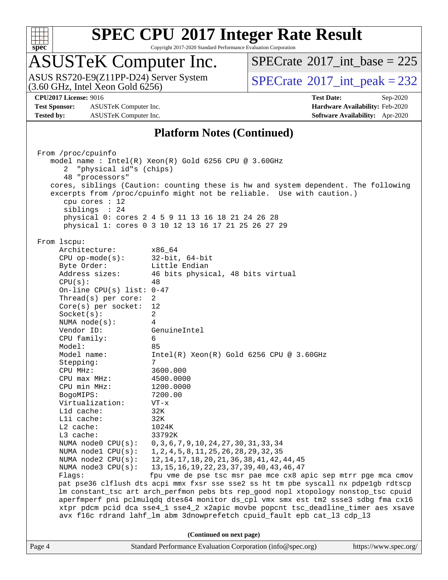

Copyright 2017-2020 Standard Performance Evaluation Corporation

## ASUSTeK Computer Inc.

ASUS RS720-E9(Z11PP-D24) Server System<br>(3.60 GHz, Intel Xeon Gold 6256)

 $SPECTate$ <sup>®</sup>[2017\\_int\\_base =](http://www.spec.org/auto/cpu2017/Docs/result-fields.html#SPECrate2017intbase) 225

 $SPECTate<sup>®</sup>2017_int_p, peak = 232$ 

**[Test Sponsor:](http://www.spec.org/auto/cpu2017/Docs/result-fields.html#TestSponsor)** ASUSTeK Computer Inc. **[Hardware Availability:](http://www.spec.org/auto/cpu2017/Docs/result-fields.html#HardwareAvailability)** Feb-2020 **[Tested by:](http://www.spec.org/auto/cpu2017/Docs/result-fields.html#Testedby)** ASUSTeK Computer Inc. **[Software Availability:](http://www.spec.org/auto/cpu2017/Docs/result-fields.html#SoftwareAvailability)** Apr-2020

**[CPU2017 License:](http://www.spec.org/auto/cpu2017/Docs/result-fields.html#CPU2017License)** 9016 **[Test Date:](http://www.spec.org/auto/cpu2017/Docs/result-fields.html#TestDate)** Sep-2020

#### **[Platform Notes \(Continued\)](http://www.spec.org/auto/cpu2017/Docs/result-fields.html#PlatformNotes)**

Page 4 Standard Performance Evaluation Corporation [\(info@spec.org\)](mailto:info@spec.org) <https://www.spec.org/> From /proc/cpuinfo model name : Intel(R) Xeon(R) Gold 6256 CPU @ 3.60GHz 2 "physical id"s (chips) 48 "processors" cores, siblings (Caution: counting these is hw and system dependent. The following excerpts from /proc/cpuinfo might not be reliable. Use with caution.) cpu cores : 12 siblings : 24 physical 0: cores 2 4 5 9 11 13 16 18 21 24 26 28 physical 1: cores 0 3 10 12 13 16 17 21 25 26 27 29 From lscpu: Architecture: x86\_64 CPU op-mode(s): 32-bit, 64-bit Byte Order: Little Endian Address sizes: 46 bits physical, 48 bits virtual  $CPU(s):$  48 On-line CPU(s) list: 0-47 Thread(s) per core: 2 Core(s) per socket: 12 Socket(s): 2 NUMA node(s): 4 Vendor ID: GenuineIntel CPU family: 6 Model: 85 Model name: Intel(R) Xeon(R) Gold 6256 CPU @ 3.60GHz Stepping: CPU MHz: 3600.000 CPU max MHz: 4500.0000 CPU min MHz: 1200.0000 BogoMIPS: 7200.00 Virtualization: VT-x L1d cache: 32K L1i cache: 32K L2 cache: 1024K L3 cache: 33792K NUMA node0 CPU(s): 0,3,6,7,9,10,24,27,30,31,33,34 NUMA node1 CPU(s): 1,2,4,5,8,11,25,26,28,29,32,35<br>NUMA node2 CPU(s): 12,14,17,18,20,21,36,38,41,42, 12,14,17,18,20,21,36,38,41,42,44,45 NUMA node3 CPU(s): 13,15,16,19,22,23,37,39,40,43,46,47 Flags: fpu vme de pse tsc msr pae mce cx8 apic sep mtrr pge mca cmov pat pse36 clflush dts acpi mmx fxsr sse sse2 ss ht tm pbe syscall nx pdpe1gb rdtscp lm constant\_tsc art arch\_perfmon pebs bts rep\_good nopl xtopology nonstop\_tsc cpuid aperfmperf pni pclmulqdq dtes64 monitor ds\_cpl vmx smx est tm2 ssse3 sdbg fma cx16 xtpr pdcm pcid dca sse4\_1 sse4\_2 x2apic movbe popcnt tsc\_deadline\_timer aes xsave avx f16c rdrand lahf\_lm abm 3dnowprefetch cpuid\_fault epb cat\_l3 cdp\_l3 **(Continued on next page)**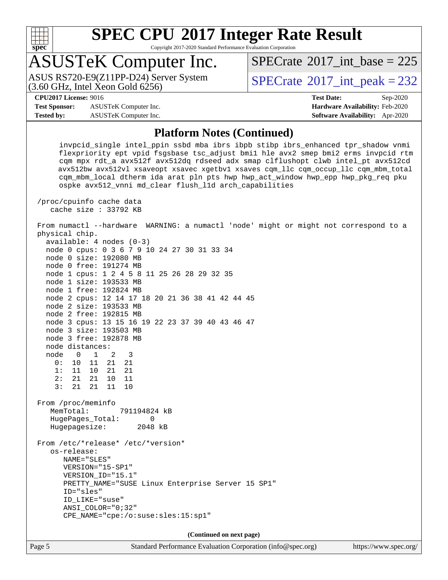

Copyright 2017-2020 Standard Performance Evaluation Corporation

## ASUSTeK Computer Inc.

 $(3.60$  GHz, Intel Xeon Gold  $6256$ ) ASUS RS720-E9(Z11PP-D24) Server System  $SBECrate@2017\_int\_peak = 232$ 

 $SPECTate$ <sup>®</sup>[2017\\_int\\_base =](http://www.spec.org/auto/cpu2017/Docs/result-fields.html#SPECrate2017intbase) 225

**[Test Sponsor:](http://www.spec.org/auto/cpu2017/Docs/result-fields.html#TestSponsor)** ASUSTeK Computer Inc. **[Hardware Availability:](http://www.spec.org/auto/cpu2017/Docs/result-fields.html#HardwareAvailability)** Feb-2020 **[Tested by:](http://www.spec.org/auto/cpu2017/Docs/result-fields.html#Testedby)** ASUSTeK Computer Inc. **[Software Availability:](http://www.spec.org/auto/cpu2017/Docs/result-fields.html#SoftwareAvailability)** Apr-2020

**[CPU2017 License:](http://www.spec.org/auto/cpu2017/Docs/result-fields.html#CPU2017License)** 9016 **[Test Date:](http://www.spec.org/auto/cpu2017/Docs/result-fields.html#TestDate)** Sep-2020

#### **[Platform Notes \(Continued\)](http://www.spec.org/auto/cpu2017/Docs/result-fields.html#PlatformNotes)**

 invpcid\_single intel\_ppin ssbd mba ibrs ibpb stibp ibrs\_enhanced tpr\_shadow vnmi flexpriority ept vpid fsgsbase tsc\_adjust bmi1 hle avx2 smep bmi2 erms invpcid rtm cqm mpx rdt\_a avx512f avx512dq rdseed adx smap clflushopt clwb intel\_pt avx512cd avx512bw avx512vl xsaveopt xsavec xgetbv1 xsaves cqm\_llc cqm\_occup\_llc cqm\_mbm\_total cqm\_mbm\_local dtherm ida arat pln pts hwp hwp\_act\_window hwp\_epp hwp\_pkg\_req pku ospke avx512\_vnni md\_clear flush\_l1d arch\_capabilities

 /proc/cpuinfo cache data cache size : 33792 KB

 From numactl --hardware WARNING: a numactl 'node' might or might not correspond to a physical chip.

| $available: 4 nodes (0-3)$                        |
|---------------------------------------------------|
| node 0 cpus: 0 3 6 7 9 10 24 27 30 31 33 34       |
| node 0 size: 192080 MB                            |
| node 0 free: 191274 MB                            |
| node 1 cpus: 1 2 4 5 8 11 25 26 28 29 32 35       |
| node 1 size: 193533 MB                            |
| node 1 free: 192824 MB                            |
| node 2 cpus: 12 14 17 18 20 21 36 38 41 42 44 45  |
| node 2 size: 193533 MB                            |
| node 2 free: 192815 MB                            |
| node 3 cpus: 13 15 16 19 22 23 37 39 40 43 46 47  |
| node 3 size: 193503 MB                            |
| node 3 free: 192878 MB                            |
| node distances:                                   |
| node 0 1 2 3                                      |
| 0: 10 11 21 21                                    |
| $1: 11 10 21 21$<br>$2: 21 21 10 11$              |
|                                                   |
| 3: 21 21 11 10                                    |
| From /proc/meminfo                                |
| MemTotal: 791194824 kB                            |
| HugePages_Total:<br>$\Omega$                      |
| Hugepagesize: 2048 kB                             |
| From /etc/*release* /etc/*version*                |
| os-release:                                       |
| NAME="SLES"                                       |
| VERSION="15-SP1"                                  |
| VERSION_ID="15.1"                                 |
| PRETTY_NAME="SUSE Linux Enterprise Server 15 SP1" |
| ID="sles"                                         |
| ID_LIKE="suse"                                    |
| $ANSI\_COLOR = "0;32"$                            |
| CPE_NAME="cpe:/o:suse:sles:15:sp1"                |
|                                                   |

**(Continued on next page)**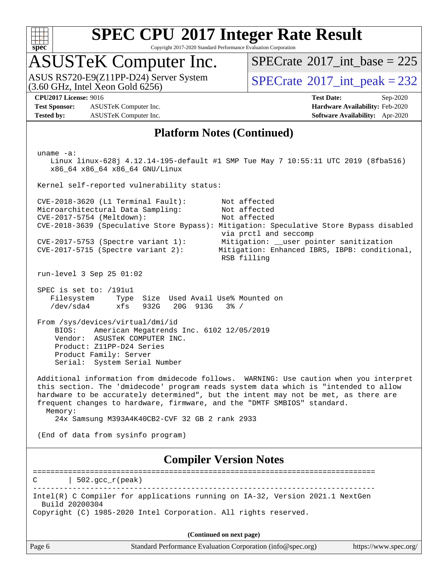

Copyright 2017-2020 Standard Performance Evaluation Corporation

### ASUSTeK Computer Inc.

ASUS RS720-E9(Z11PP-D24) Server System  $(3.60 \text{ GHz}, \text{ Intel Xeon Gold } 6256)$   $\big| \text{ SPECrate}^{\circledR} 2017 \text{ int\_peak} = 232 \big|$  $\big| \text{ SPECrate}^{\circledR} 2017 \text{ int\_peak} = 232 \big|$  $\big| \text{ SPECrate}^{\circledR} 2017 \text{ int\_peak} = 232 \big|$ 

 $SPECrate$ <sup>®</sup>[2017\\_int\\_base =](http://www.spec.org/auto/cpu2017/Docs/result-fields.html#SPECrate2017intbase) 225

**[Test Sponsor:](http://www.spec.org/auto/cpu2017/Docs/result-fields.html#TestSponsor)** ASUSTeK Computer Inc. **[Hardware Availability:](http://www.spec.org/auto/cpu2017/Docs/result-fields.html#HardwareAvailability)** Feb-2020 **[Tested by:](http://www.spec.org/auto/cpu2017/Docs/result-fields.html#Testedby)** ASUSTeK Computer Inc. **[Software Availability:](http://www.spec.org/auto/cpu2017/Docs/result-fields.html#SoftwareAvailability)** Apr-2020

**[CPU2017 License:](http://www.spec.org/auto/cpu2017/Docs/result-fields.html#CPU2017License)** 9016 **[Test Date:](http://www.spec.org/auto/cpu2017/Docs/result-fields.html#TestDate)** Sep-2020

#### **[Platform Notes \(Continued\)](http://www.spec.org/auto/cpu2017/Docs/result-fields.html#PlatformNotes)**

Page 6 Standard Performance Evaluation Corporation [\(info@spec.org\)](mailto:info@spec.org) <https://www.spec.org/> uname -a: Linux linux-628j 4.12.14-195-default #1 SMP Tue May 7 10:55:11 UTC 2019 (8fba516) x86\_64 x86\_64 x86\_64 GNU/Linux Kernel self-reported vulnerability status: CVE-2018-3620 (L1 Terminal Fault): Not affected Microarchitectural Data Sampling: Not affected<br>CVE-2017-5754 (Meltdown): Not affected  $CVE-2017-5754$  (Meltdown): CVE-2018-3639 (Speculative Store Bypass): Mitigation: Speculative Store Bypass disabled via prctl and seccomp CVE-2017-5753 (Spectre variant 1): Mitigation: \_\_user pointer sanitization CVE-2017-5715 (Spectre variant 2): Mitigation: Enhanced IBRS, IBPB: conditional, RSB filling run-level 3 Sep 25 01:02 SPEC is set to: /191u1 Filesystem Type Size Used Avail Use% Mounted on /dev/sda4 xfs 932G 20G 913G 3% / From /sys/devices/virtual/dmi/id BIOS: American Megatrends Inc. 6102 12/05/2019 Vendor: ASUSTeK COMPUTER INC. Product: Z11PP-D24 Series Product Family: Server Serial: System Serial Number Additional information from dmidecode follows. WARNING: Use caution when you interpret this section. The 'dmidecode' program reads system data which is "intended to allow hardware to be accurately determined", but the intent may not be met, as there are frequent changes to hardware, firmware, and the "DMTF SMBIOS" standard. Memory: 24x Samsung M393A4K40CB2-CVF 32 GB 2 rank 2933 (End of data from sysinfo program) **[Compiler Version Notes](http://www.spec.org/auto/cpu2017/Docs/result-fields.html#CompilerVersionNotes)** ==============================================================================  $C \qquad | \quad 502.\text{gcc\_r}(\text{peak})$ ------------------------------------------------------------------------------ Intel(R) C Compiler for applications running on IA-32, Version 2021.1 NextGen Build 20200304 Copyright (C) 1985-2020 Intel Corporation. All rights reserved. **(Continued on next page)**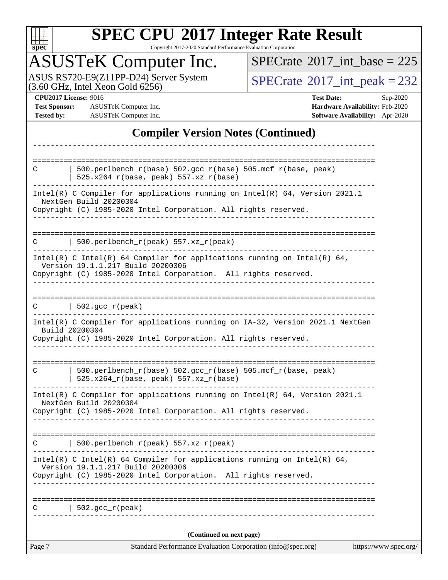

Copyright 2017-2020 Standard Performance Evaluation Corporation

## ASUSTeK Computer Inc.

ASUS RS720-E9(Z11PP-D24) Server System  $(3.60 \text{ GHz}, \text{ Intel Xeon Gold } 6256)$   $\big| \text{ SPECrate}^{\circledR} 2017 \text{ int\_peak} = 232 \big|$  $\big| \text{ SPECrate}^{\circledR} 2017 \text{ int\_peak} = 232 \big|$  $\big| \text{ SPECrate}^{\circledR} 2017 \text{ int\_peak} = 232 \big|$ 

 $SPECrate$ <sup>®</sup>[2017\\_int\\_base =](http://www.spec.org/auto/cpu2017/Docs/result-fields.html#SPECrate2017intbase) 225

**[Test Sponsor:](http://www.spec.org/auto/cpu2017/Docs/result-fields.html#TestSponsor)** ASUSTeK Computer Inc. **[Hardware Availability:](http://www.spec.org/auto/cpu2017/Docs/result-fields.html#HardwareAvailability)** Feb-2020 **[Tested by:](http://www.spec.org/auto/cpu2017/Docs/result-fields.html#Testedby)** ASUSTeK Computer Inc. **[Software Availability:](http://www.spec.org/auto/cpu2017/Docs/result-fields.html#SoftwareAvailability)** Apr-2020

**[CPU2017 License:](http://www.spec.org/auto/cpu2017/Docs/result-fields.html#CPU2017License)** 9016 **[Test Date:](http://www.spec.org/auto/cpu2017/Docs/result-fields.html#TestDate)** Sep-2020

#### **[Compiler Version Notes \(Continued\)](http://www.spec.org/auto/cpu2017/Docs/result-fields.html#CompilerVersionNotes)**

| Page 7 | Standard Performance Evaluation Corporation (info@spec.org)                                                                                                                 | https://www.spec.org/ |
|--------|-----------------------------------------------------------------------------------------------------------------------------------------------------------------------------|-----------------------|
|        | (Continued on next page)                                                                                                                                                    |                       |
|        | $502.$ gcc_r(peak)                                                                                                                                                          |                       |
|        |                                                                                                                                                                             |                       |
|        | Copyright (C) 1985-2020 Intel Corporation. All rights reserved.                                                                                                             |                       |
|        | Intel(R) C Intel(R) 64 Compiler for applications running on Intel(R) 64,<br>Version 19.1.1.217 Build 20200306                                                               |                       |
| C      | 500.perlbench_r(peak) 557.xz_r(peak)                                                                                                                                        |                       |
|        | Copyright (C) 1985-2020 Intel Corporation. All rights reserved.                                                                                                             |                       |
|        | Intel(R) C Compiler for applications running on $Intel(R) 64$ , Version 2021.1<br>NextGen Build 20200304                                                                    |                       |
| C      | 500.perlbench_r(base) 502.gcc_r(base) 505.mcf_r(base, peak)<br>$525.x264_r(base, peak) 557.xz_r(base)$                                                                      |                       |
|        | Build 20200304<br>Copyright (C) 1985-2020 Intel Corporation. All rights reserved.<br><u>Le especiel especie</u> l                                                           |                       |
|        | Intel(R) C Compiler for applications running on IA-32, Version 2021.1 NextGen                                                                                               |                       |
|        | $C$   502.gcc_r(peak)                                                                                                                                                       |                       |
|        | Copyright (C) 1985-2020 Intel Corporation. All rights reserved.                                                                                                             |                       |
|        | Intel(R) C Intel(R) 64 Compiler for applications running on Intel(R) 64,<br>Version 19.1.1.217 Build 20200306                                                               |                       |
| C      | 500.perlbench_r(peak) $557.xz_r$ (peak)                                                                                                                                     |                       |
|        | Intel(R) C Compiler for applications running on Intel(R) $64$ , Version 2021.1<br>NextGen Build 20200304<br>Copyright (C) 1985-2020 Intel Corporation. All rights reserved. |                       |
|        |                                                                                                                                                                             |                       |
| C      | 500.perlbench_r(base) 502.gcc_r(base) 505.mcf_r(base, peak)                                                                                                                 |                       |
|        | $525.x264_r(base, peak) 557.xz_r(base)$                                                                                                                                     |                       |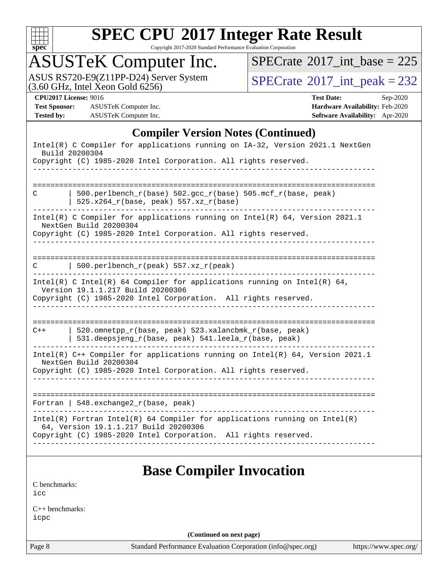

Copyright 2017-2020 Standard Performance Evaluation Corporation

## ASUSTeK Computer Inc.

ASUS RS720-E9(Z11PP-D24) Server System  $(3.60 \text{ GHz}, \text{ Intel Xeon Gold } 6256)$   $\big| \text{ SPECrate}^{\circledR} 2017 \text{ int\_peak} = 232 \big|$  $\big| \text{ SPECrate}^{\circledR} 2017 \text{ int\_peak} = 232 \big|$  $\big| \text{ SPECrate}^{\circledR} 2017 \text{ int\_peak} = 232 \big|$ 

 $SPECrate$ <sup>®</sup>[2017\\_int\\_base =](http://www.spec.org/auto/cpu2017/Docs/result-fields.html#SPECrate2017intbase) 225

**[Test Sponsor:](http://www.spec.org/auto/cpu2017/Docs/result-fields.html#TestSponsor)** ASUSTeK Computer Inc. **[Hardware Availability:](http://www.spec.org/auto/cpu2017/Docs/result-fields.html#HardwareAvailability)** Feb-2020 **[Tested by:](http://www.spec.org/auto/cpu2017/Docs/result-fields.html#Testedby)** ASUSTeK Computer Inc. **[Software Availability:](http://www.spec.org/auto/cpu2017/Docs/result-fields.html#SoftwareAvailability)** Apr-2020

**[CPU2017 License:](http://www.spec.org/auto/cpu2017/Docs/result-fields.html#CPU2017License)** 9016 **[Test Date:](http://www.spec.org/auto/cpu2017/Docs/result-fields.html#TestDate)** Sep-2020

#### **[Compiler Version Notes \(Continued\)](http://www.spec.org/auto/cpu2017/Docs/result-fields.html#CompilerVersionNotes)**

| Intel(R) C Compiler for applications running on IA-32, Version 2021.1 NextGen<br>Build 20200304                                                                                          |
|------------------------------------------------------------------------------------------------------------------------------------------------------------------------------------------|
| Copyright (C) 1985-2020 Intel Corporation. All rights reserved.                                                                                                                          |
|                                                                                                                                                                                          |
| 500.perlbench_r(base) 502.gcc_r(base) 505.mcf_r(base, peak)<br>C<br>525.x264_r(base, peak) 557.xz_r(base)                                                                                |
| Intel(R) C Compiler for applications running on Intel(R) 64, Version 2021.1<br>NextGen Build 20200304<br>Copyright (C) 1985-2020 Intel Corporation. All rights reserved.                 |
| 500.perlbench_r(peak) 557.xz_r(peak)<br>C                                                                                                                                                |
| Intel(R) C Intel(R) 64 Compiler for applications running on Intel(R) 64,<br>Version 19.1.1.217 Build 20200306<br>Copyright (C) 1985-2020 Intel Corporation. All rights reserved.         |
| =============================<br>520.omnetpp_r(base, peak) 523.xalancbmk_r(base, peak)<br>$C++$<br>531.deepsjeng_r(base, peak) 541.leela_r(base, peak)                                   |
| Intel(R) C++ Compiler for applications running on Intel(R) 64, Version 2021.1<br>NextGen Build 20200304<br>Copyright (C) 1985-2020 Intel Corporation. All rights reserved.               |
| Fortran   548. exchange $2r(base, peak)$                                                                                                                                                 |
| $Intel(R)$ Fortran Intel(R) 64 Compiler for applications running on Intel(R)<br>64, Version 19.1.1.217 Build 20200306<br>Copyright (C) 1985-2020 Intel Corporation. All rights reserved. |
| <b>Base Compiler Invocation</b>                                                                                                                                                          |

[C benchmarks](http://www.spec.org/auto/cpu2017/Docs/result-fields.html#Cbenchmarks): [icc](http://www.spec.org/cpu2017/results/res2020q4/cpu2017-20201023-24236.flags.html#user_CCbase_intel_icc_66fc1ee009f7361af1fbd72ca7dcefbb700085f36577c54f309893dd4ec40d12360134090235512931783d35fd58c0460139e722d5067c5574d8eaf2b3e37e92)

[C++ benchmarks:](http://www.spec.org/auto/cpu2017/Docs/result-fields.html#CXXbenchmarks) [icpc](http://www.spec.org/cpu2017/results/res2020q4/cpu2017-20201023-24236.flags.html#user_CXXbase_intel_icpc_c510b6838c7f56d33e37e94d029a35b4a7bccf4766a728ee175e80a419847e808290a9b78be685c44ab727ea267ec2f070ec5dc83b407c0218cded6866a35d07)

**(Continued on next page)**

Page 8 Standard Performance Evaluation Corporation [\(info@spec.org\)](mailto:info@spec.org) <https://www.spec.org/>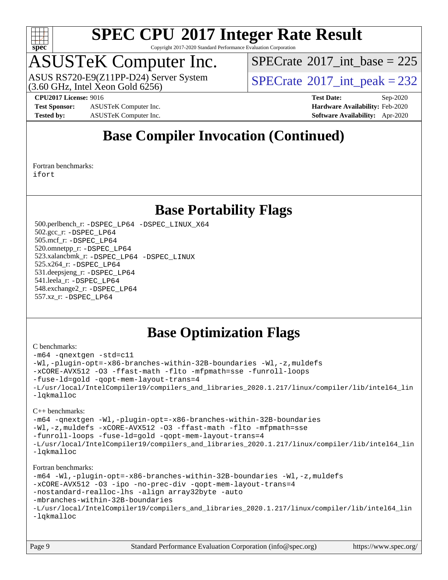

Copyright 2017-2020 Standard Performance Evaluation Corporation

## ASUSTeK Computer Inc.

 $(3.60$  GHz, Intel Xeon Gold  $6256$ ) ASUS RS720-E9(Z11PP-D24) Server System  $SBECrate^{\circ}2017$  int peak = 232

 $SPECTate$ <sup>®</sup>[2017\\_int\\_base =](http://www.spec.org/auto/cpu2017/Docs/result-fields.html#SPECrate2017intbase) 225

**[Test Sponsor:](http://www.spec.org/auto/cpu2017/Docs/result-fields.html#TestSponsor)** ASUSTeK Computer Inc. **[Hardware Availability:](http://www.spec.org/auto/cpu2017/Docs/result-fields.html#HardwareAvailability)** Feb-2020 **[Tested by:](http://www.spec.org/auto/cpu2017/Docs/result-fields.html#Testedby)** ASUSTeK Computer Inc. **[Software Availability:](http://www.spec.org/auto/cpu2017/Docs/result-fields.html#SoftwareAvailability)** Apr-2020

**[CPU2017 License:](http://www.spec.org/auto/cpu2017/Docs/result-fields.html#CPU2017License)** 9016 **[Test Date:](http://www.spec.org/auto/cpu2017/Docs/result-fields.html#TestDate)** Sep-2020

### **[Base Compiler Invocation \(Continued\)](http://www.spec.org/auto/cpu2017/Docs/result-fields.html#BaseCompilerInvocation)**

[Fortran benchmarks](http://www.spec.org/auto/cpu2017/Docs/result-fields.html#Fortranbenchmarks): [ifort](http://www.spec.org/cpu2017/results/res2020q4/cpu2017-20201023-24236.flags.html#user_FCbase_intel_ifort_8111460550e3ca792625aed983ce982f94888b8b503583aa7ba2b8303487b4d8a21a13e7191a45c5fd58ff318f48f9492884d4413fa793fd88dd292cad7027ca)

### **[Base Portability Flags](http://www.spec.org/auto/cpu2017/Docs/result-fields.html#BasePortabilityFlags)**

 500.perlbench\_r: [-DSPEC\\_LP64](http://www.spec.org/cpu2017/results/res2020q4/cpu2017-20201023-24236.flags.html#b500.perlbench_r_basePORTABILITY_DSPEC_LP64) [-DSPEC\\_LINUX\\_X64](http://www.spec.org/cpu2017/results/res2020q4/cpu2017-20201023-24236.flags.html#b500.perlbench_r_baseCPORTABILITY_DSPEC_LINUX_X64) 502.gcc\_r: [-DSPEC\\_LP64](http://www.spec.org/cpu2017/results/res2020q4/cpu2017-20201023-24236.flags.html#suite_basePORTABILITY502_gcc_r_DSPEC_LP64) 505.mcf\_r: [-DSPEC\\_LP64](http://www.spec.org/cpu2017/results/res2020q4/cpu2017-20201023-24236.flags.html#suite_basePORTABILITY505_mcf_r_DSPEC_LP64) 520.omnetpp\_r: [-DSPEC\\_LP64](http://www.spec.org/cpu2017/results/res2020q4/cpu2017-20201023-24236.flags.html#suite_basePORTABILITY520_omnetpp_r_DSPEC_LP64) 523.xalancbmk\_r: [-DSPEC\\_LP64](http://www.spec.org/cpu2017/results/res2020q4/cpu2017-20201023-24236.flags.html#suite_basePORTABILITY523_xalancbmk_r_DSPEC_LP64) [-DSPEC\\_LINUX](http://www.spec.org/cpu2017/results/res2020q4/cpu2017-20201023-24236.flags.html#b523.xalancbmk_r_baseCXXPORTABILITY_DSPEC_LINUX) 525.x264\_r: [-DSPEC\\_LP64](http://www.spec.org/cpu2017/results/res2020q4/cpu2017-20201023-24236.flags.html#suite_basePORTABILITY525_x264_r_DSPEC_LP64) 531.deepsjeng\_r: [-DSPEC\\_LP64](http://www.spec.org/cpu2017/results/res2020q4/cpu2017-20201023-24236.flags.html#suite_basePORTABILITY531_deepsjeng_r_DSPEC_LP64) 541.leela\_r: [-DSPEC\\_LP64](http://www.spec.org/cpu2017/results/res2020q4/cpu2017-20201023-24236.flags.html#suite_basePORTABILITY541_leela_r_DSPEC_LP64) 548.exchange2\_r: [-DSPEC\\_LP64](http://www.spec.org/cpu2017/results/res2020q4/cpu2017-20201023-24236.flags.html#suite_basePORTABILITY548_exchange2_r_DSPEC_LP64) 557.xz\_r: [-DSPEC\\_LP64](http://www.spec.org/cpu2017/results/res2020q4/cpu2017-20201023-24236.flags.html#suite_basePORTABILITY557_xz_r_DSPEC_LP64)

### **[Base Optimization Flags](http://www.spec.org/auto/cpu2017/Docs/result-fields.html#BaseOptimizationFlags)**

#### [C benchmarks](http://www.spec.org/auto/cpu2017/Docs/result-fields.html#Cbenchmarks):

```
-m64 -qnextgen -std=c11
-Wl,-plugin-opt=-x86-branches-within-32B-boundaries -Wl,-z,muldefs
-xCORE-AVX512 -O3 -ffast-math -flto -mfpmath=sse -funroll-loops
-fuse-ld=gold -qopt-mem-layout-trans=4
-L/usr/local/IntelCompiler19/compilers_and_libraries_2020.1.217/linux/compiler/lib/intel64_lin
-lqkmalloc
C++ benchmarks: 
-m64 -qnextgen -Wl,-plugin-opt=-x86-branches-within-32B-boundaries
-Wl,-z,muldefs -xCORE-AVX512 -O3 -ffast-math -flto -mfpmath=sse
-funroll-loops -fuse-ld=gold -qopt-mem-layout-trans=4
-L/usr/local/IntelCompiler19/compilers_and_libraries_2020.1.217/linux/compiler/lib/intel64_lin
-lqkmalloc
Fortran benchmarks: 
-m64 -Wl,-plugin-opt=-x86-branches-within-32B-boundaries -Wl,-z,muldefs
-xCORE-AVX512 -O3 -ipo -no-prec-div -qopt-mem-layout-trans=4
-nostandard-realloc-lhs -align array32byte -auto
-mbranches-within-32B-boundaries
-L/usr/local/IntelCompiler19/compilers_and_libraries_2020.1.217/linux/compiler/lib/intel64_lin
-lqkmalloc
```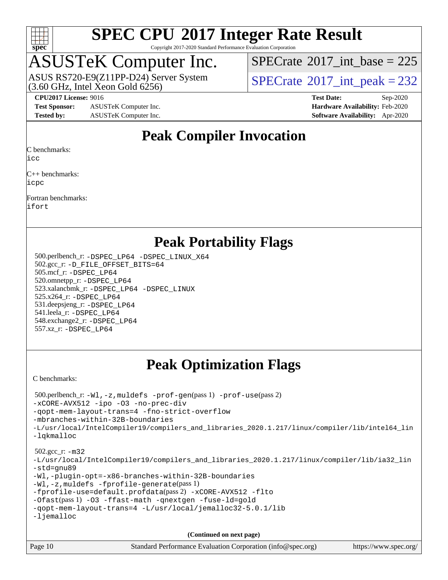

Copyright 2017-2020 Standard Performance Evaluation Corporation

## ASUSTeK Computer Inc.

 $(3.60$  GHz, Intel Xeon Gold  $6256$ ) ASUS RS720-E9(Z11PP-D24) Server System  $SBECrate^{\circ}2017$  int peak = 232

 $SPECTate$ <sup>®</sup>[2017\\_int\\_base =](http://www.spec.org/auto/cpu2017/Docs/result-fields.html#SPECrate2017intbase) 225

**[Test Sponsor:](http://www.spec.org/auto/cpu2017/Docs/result-fields.html#TestSponsor)** ASUSTeK Computer Inc. **[Hardware Availability:](http://www.spec.org/auto/cpu2017/Docs/result-fields.html#HardwareAvailability)** Feb-2020 **[Tested by:](http://www.spec.org/auto/cpu2017/Docs/result-fields.html#Testedby)** ASUSTeK Computer Inc. **[Software Availability:](http://www.spec.org/auto/cpu2017/Docs/result-fields.html#SoftwareAvailability)** Apr-2020

**[CPU2017 License:](http://www.spec.org/auto/cpu2017/Docs/result-fields.html#CPU2017License)** 9016 **[Test Date:](http://www.spec.org/auto/cpu2017/Docs/result-fields.html#TestDate)** Sep-2020

### **[Peak Compiler Invocation](http://www.spec.org/auto/cpu2017/Docs/result-fields.html#PeakCompilerInvocation)**

[C benchmarks:](http://www.spec.org/auto/cpu2017/Docs/result-fields.html#Cbenchmarks)

[icc](http://www.spec.org/cpu2017/results/res2020q4/cpu2017-20201023-24236.flags.html#user_CCpeak_intel_icc_66fc1ee009f7361af1fbd72ca7dcefbb700085f36577c54f309893dd4ec40d12360134090235512931783d35fd58c0460139e722d5067c5574d8eaf2b3e37e92)

[C++ benchmarks](http://www.spec.org/auto/cpu2017/Docs/result-fields.html#CXXbenchmarks): [icpc](http://www.spec.org/cpu2017/results/res2020q4/cpu2017-20201023-24236.flags.html#user_CXXpeak_intel_icpc_c510b6838c7f56d33e37e94d029a35b4a7bccf4766a728ee175e80a419847e808290a9b78be685c44ab727ea267ec2f070ec5dc83b407c0218cded6866a35d07)

[Fortran benchmarks:](http://www.spec.org/auto/cpu2017/Docs/result-fields.html#Fortranbenchmarks) [ifort](http://www.spec.org/cpu2017/results/res2020q4/cpu2017-20201023-24236.flags.html#user_FCpeak_intel_ifort_8111460550e3ca792625aed983ce982f94888b8b503583aa7ba2b8303487b4d8a21a13e7191a45c5fd58ff318f48f9492884d4413fa793fd88dd292cad7027ca)

**[Peak Portability Flags](http://www.spec.org/auto/cpu2017/Docs/result-fields.html#PeakPortabilityFlags)**

 500.perlbench\_r: [-DSPEC\\_LP64](http://www.spec.org/cpu2017/results/res2020q4/cpu2017-20201023-24236.flags.html#b500.perlbench_r_peakPORTABILITY_DSPEC_LP64) [-DSPEC\\_LINUX\\_X64](http://www.spec.org/cpu2017/results/res2020q4/cpu2017-20201023-24236.flags.html#b500.perlbench_r_peakCPORTABILITY_DSPEC_LINUX_X64) 502.gcc\_r: [-D\\_FILE\\_OFFSET\\_BITS=64](http://www.spec.org/cpu2017/results/res2020q4/cpu2017-20201023-24236.flags.html#user_peakPORTABILITY502_gcc_r_file_offset_bits_64_5ae949a99b284ddf4e95728d47cb0843d81b2eb0e18bdfe74bbf0f61d0b064f4bda2f10ea5eb90e1dcab0e84dbc592acfc5018bc955c18609f94ddb8d550002c) 505.mcf\_r: [-DSPEC\\_LP64](http://www.spec.org/cpu2017/results/res2020q4/cpu2017-20201023-24236.flags.html#suite_peakPORTABILITY505_mcf_r_DSPEC_LP64) 520.omnetpp\_r: [-DSPEC\\_LP64](http://www.spec.org/cpu2017/results/res2020q4/cpu2017-20201023-24236.flags.html#suite_peakPORTABILITY520_omnetpp_r_DSPEC_LP64) 523.xalancbmk\_r: [-DSPEC\\_LP64](http://www.spec.org/cpu2017/results/res2020q4/cpu2017-20201023-24236.flags.html#suite_peakPORTABILITY523_xalancbmk_r_DSPEC_LP64) [-DSPEC\\_LINUX](http://www.spec.org/cpu2017/results/res2020q4/cpu2017-20201023-24236.flags.html#b523.xalancbmk_r_peakCXXPORTABILITY_DSPEC_LINUX) 525.x264\_r: [-DSPEC\\_LP64](http://www.spec.org/cpu2017/results/res2020q4/cpu2017-20201023-24236.flags.html#suite_peakPORTABILITY525_x264_r_DSPEC_LP64) 531.deepsjeng\_r: [-DSPEC\\_LP64](http://www.spec.org/cpu2017/results/res2020q4/cpu2017-20201023-24236.flags.html#suite_peakPORTABILITY531_deepsjeng_r_DSPEC_LP64) 541.leela\_r: [-DSPEC\\_LP64](http://www.spec.org/cpu2017/results/res2020q4/cpu2017-20201023-24236.flags.html#suite_peakPORTABILITY541_leela_r_DSPEC_LP64) 548.exchange2\_r: [-DSPEC\\_LP64](http://www.spec.org/cpu2017/results/res2020q4/cpu2017-20201023-24236.flags.html#suite_peakPORTABILITY548_exchange2_r_DSPEC_LP64) 557.xz\_r: [-DSPEC\\_LP64](http://www.spec.org/cpu2017/results/res2020q4/cpu2017-20201023-24236.flags.html#suite_peakPORTABILITY557_xz_r_DSPEC_LP64)

### **[Peak Optimization Flags](http://www.spec.org/auto/cpu2017/Docs/result-fields.html#PeakOptimizationFlags)**

[C benchmarks](http://www.spec.org/auto/cpu2017/Docs/result-fields.html#Cbenchmarks):

```
Page 10 Standard Performance Evaluation Corporation (info@spec.org) https://www.spec.org/
  500.perlbench_r: -Wl,-z,muldefs -prof-gen(pass 1) -prof-use(pass 2)
-xCORE-AVX512 -ipo -O3 -no-prec-div
-qopt-mem-layout-trans=4 -fno-strict-overflow
-mbranches-within-32B-boundaries
-L/usr/local/IntelCompiler19/compilers_and_libraries_2020.1.217/linux/compiler/lib/intel64_lin
-lqkmalloc
  502.gcc_r: -m32
-L/usr/local/IntelCompiler19/compilers_and_libraries_2020.1.217/linux/compiler/lib/ia32_lin
-std=gnu89
-Wl,-plugin-opt=-x86-branches-within-32B-boundaries
-Wl,-z,muldefs -fprofile-generate(pass 1)
-fprofile-use=default.profdata(pass 2) -xCORE-AVX512 -flto
-Ofast(pass 1) -O3 -ffast-math -qnextgen -fuse-ld=gold
-qopt-mem-layout-trans=4 -L/usr/local/jemalloc32-5.0.1/lib
-ljemalloc
                                      (Continued on next page)
```